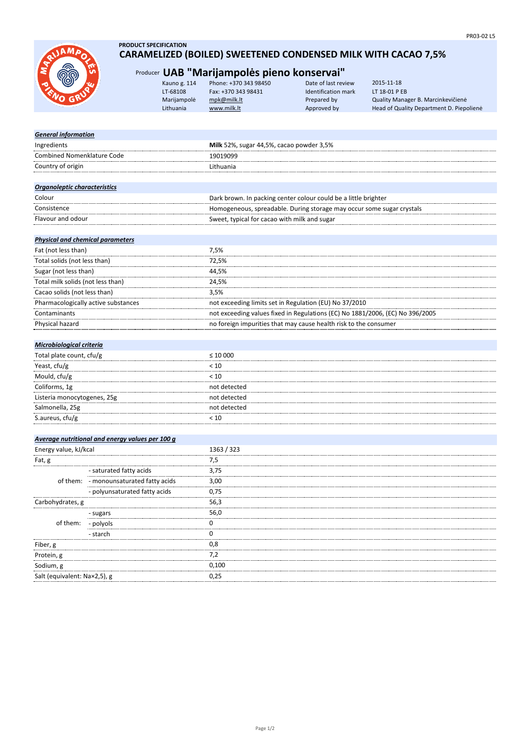

- sugars - polyols - starch

Salt (equivalent: Na×2,5), g 0,25

- monounsaturated fatty acids - polyunsaturated fatty acids

Fiber, g Protein, g Sodium, g

Carbohydrates, g

of them:

of them:

# **PRODUCT SPECIFICATION CARAMELIZED (BOILED) SWEETENED CONDENSED MILK WITH CACAO 7,5%**

# Producer **UAB "Marijampolės pieno konservai"**

| Kauno g. 114 | Phone: +370 343 98450 | Date of last review | 2015-11-18                               |
|--------------|-----------------------|---------------------|------------------------------------------|
| LT-68108     | Fax: +370 343 98431   | Identification mark | LT 18-01 P EB                            |
| Marijampolė  | mpk@milk.lt           | Prepared by         | Quality Manager B. Marcinkevičienė       |
| Lithuania    | www.milk.lt           | Approved by         | Head of Quality Department D. Piepoliene |
|              |                       |                     |                                          |

| <b>General information</b>                      |                                                                               |
|-------------------------------------------------|-------------------------------------------------------------------------------|
| Ingredients                                     | Milk 52%, sugar 44,5%, cacao powder 3,5%                                      |
| <b>Combined Nomenklature Code</b>               | 19019099                                                                      |
| Country of origin                               | Lithuania                                                                     |
|                                                 |                                                                               |
| <b>Organoleptic characteristics</b>             |                                                                               |
| Colour                                          | Dark brown. In packing center colour could be a little brighter               |
| Consistence                                     | Homogeneous, spreadable. During storage may occur some sugar crystals         |
| Flavour and odour                               | Sweet, typical for cacao with milk and sugar                                  |
|                                                 |                                                                               |
| <b>Physical and chemical parameters</b>         |                                                                               |
| Fat (not less than)                             | 7,5%                                                                          |
| Total solids (not less than)                    | 72,5%                                                                         |
| Sugar (not less than)                           | 44,5%                                                                         |
| Total milk solids (not less than)               | 24,5%                                                                         |
| Cacao solids (not less than)                    | 3,5%                                                                          |
| Pharmacologically active substances             | not exceeding limits set in Regulation (EU) No 37/2010                        |
| Contaminants                                    | not exceeding values fixed in Regulations (EC) No 1881/2006, (EC) No 396/2005 |
| Physical hazard                                 | no foreign impurities that may cause health risk to the consumer              |
|                                                 |                                                                               |
| Microbiological criteria                        |                                                                               |
| Total plate count, cfu/g                        | $\leq 10000$                                                                  |
| Yeast, cfu/g                                    | < 10                                                                          |
| Mould, cfu/g                                    | < 10                                                                          |
| Coliforms, 1g                                   | not detected                                                                  |
| Listeria monocytogenes, 25g                     | not detected                                                                  |
| Salmonella, 25g                                 | not detected                                                                  |
| S.aureus, cfu/g                                 | < 10                                                                          |
|                                                 |                                                                               |
| Average nutritional and energy values per 100 g |                                                                               |
| Energy value, kJ/kcal                           | 1363 / 323                                                                    |
| Fat, g                                          | 7,5                                                                           |
| - saturated fatty acids                         | 3,75                                                                          |

7,2 0,100

56,3

3,00 0,75

56,0  $\overline{0}$ .<br>0 0,8